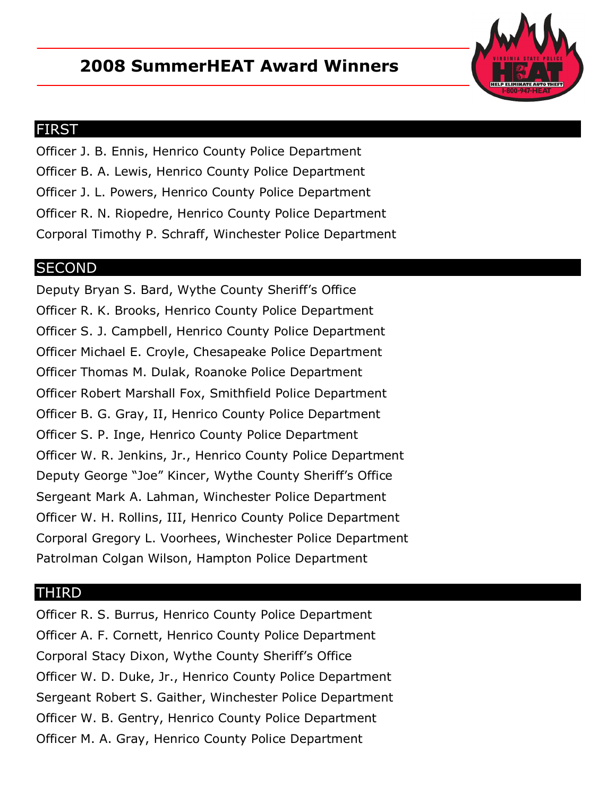## **2008 SummerHEAT Award Winners**



## FIRST

Officer J. B. Ennis, Henrico County Police Department Officer B. A. Lewis, Henrico County Police Department Officer J. L. Powers, Henrico County Police Department Officer R. N. Riopedre, Henrico County Police Department Corporal Timothy P. Schraff, Winchester Police Department

## **SECOND**

Deputy Bryan S. Bard, Wythe County Sheriff's Office Officer R. K. Brooks, Henrico County Police Department Officer S. J. Campbell, Henrico County Police Department Officer Michael E. Croyle, Chesapeake Police Department Officer Thomas M. Dulak, Roanoke Police Department Officer Robert Marshall Fox, Smithfield Police Department Officer B. G. Gray, II, Henrico County Police Department Officer S. P. Inge, Henrico County Police Department Officer W. R. Jenkins, Jr., Henrico County Police Department Deputy George "Joe" Kincer, Wythe County Sheriff's Office Sergeant Mark A. Lahman, Winchester Police Department Officer W. H. Rollins, III, Henrico County Police Department Corporal Gregory L. Voorhees, Winchester Police Department Patrolman Colgan Wilson, Hampton Police Department

## THIRD

Officer R. S. Burrus, Henrico County Police Department Officer A. F. Cornett, Henrico County Police Department Corporal Stacy Dixon, Wythe County Sheriff's Office Officer W. D. Duke, Jr., Henrico County Police Department Sergeant Robert S. Gaither, Winchester Police Department Officer W. B. Gentry, Henrico County Police Department Officer M. A. Gray, Henrico County Police Department